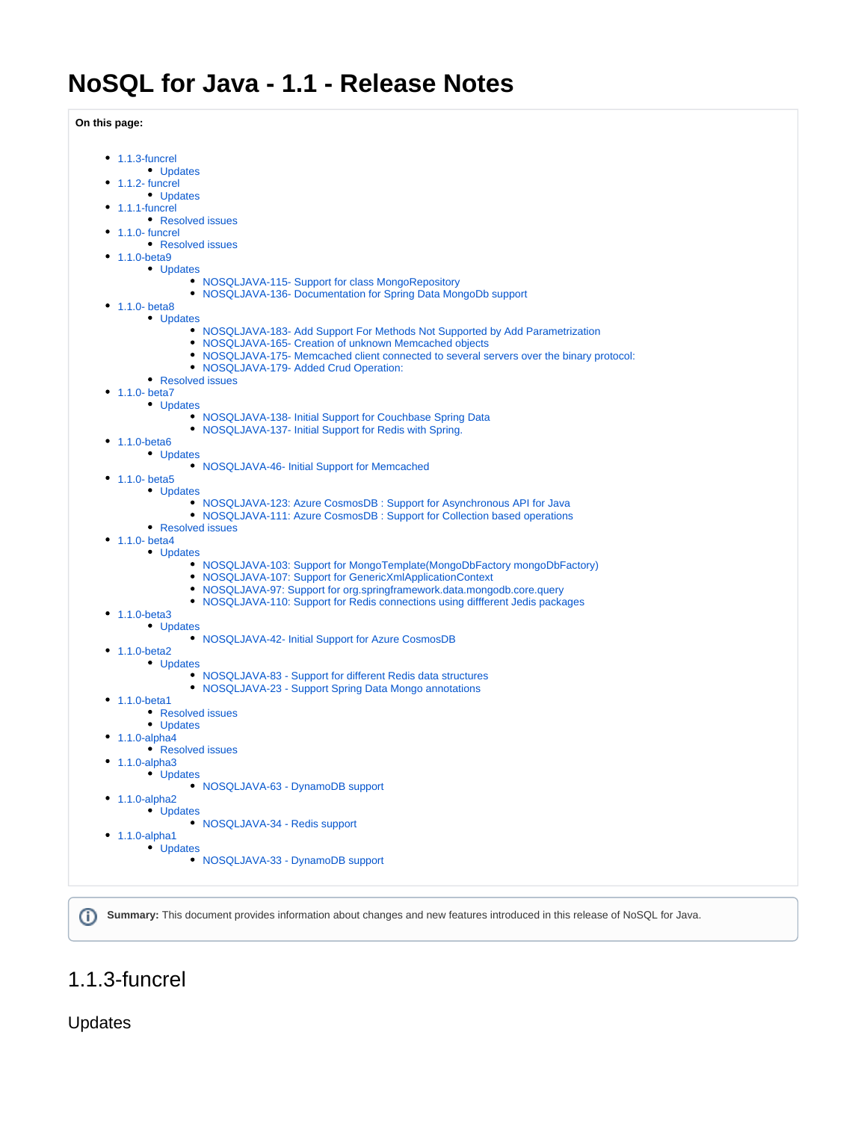**On this page:**

| $\bullet$ 1.1.3-funcrel                                                                                                                             |
|-----------------------------------------------------------------------------------------------------------------------------------------------------|
| • Updates                                                                                                                                           |
| $\bullet$ 1.1.2- funcrel<br>• Updates                                                                                                               |
| $\bullet$ 1.1.1-funcrel                                                                                                                             |
| • Resolved issues                                                                                                                                   |
| $\bullet$ 1.1.0- funcrel                                                                                                                            |
| • Resolved issues                                                                                                                                   |
| • $1.1.0 - beta9$                                                                                                                                   |
| • Updates<br>• NOSQLJAVA-115- Support for class MongoRepository                                                                                     |
| • NOSQLJAVA-136- Documentation for Spring Data MongoDb support                                                                                      |
| • $1.1.0 - beta8$                                                                                                                                   |
| • Updates                                                                                                                                           |
| • NOSQLJAVA-183- Add Support For Methods Not Supported by Add Parametrization                                                                       |
| • NOSQLJAVA-165- Creation of unknown Memcached objects<br>• NOSQLJAVA-175- Memcached client connected to several servers over the binary protocol:  |
| • NOSQLJAVA-179- Added Crud Operation:                                                                                                              |
| • Resolved issues                                                                                                                                   |
| • $1.1.0 - beta7$                                                                                                                                   |
| • Updates                                                                                                                                           |
| • NOSQLJAVA-138- Initial Support for Couchbase Spring Data                                                                                          |
| • NOSQLJAVA-137- Initial Support for Redis with Spring.<br>• $1.1.0 - beta6$                                                                        |
| • Updates                                                                                                                                           |
| • NOSQLJAVA-46- Initial Support for Memcached                                                                                                       |
| • $1.1.0 - beta5$                                                                                                                                   |
| • Updates                                                                                                                                           |
| • NOSQLJAVA-123: Azure CosmosDB : Support for Asynchronous API for Java<br>• NOSQLJAVA-111: Azure CosmosDB: Support for Collection based operations |
| • Resolved issues                                                                                                                                   |
| • $1.1.0 - beta4$                                                                                                                                   |
| • Updates                                                                                                                                           |
| • NOSQLJAVA-103: Support for MongoTemplate(MongoDbFactory mongoDbFactory)                                                                           |
| • NOSQLJAVA-107: Support for GenericXmlApplicationContext<br>• NOSQLJAVA-97: Support for org.springframework.data.mongodb.core.query                |
| • NOSQLJAVA-110: Support for Redis connections using different Jedis packages                                                                       |
| • $1.1.0 - beta3$                                                                                                                                   |
| • Updates                                                                                                                                           |
| • NOSQLJAVA-42- Initial Support for Azure CosmosDB                                                                                                  |
| • $1.1.0 - beta2$                                                                                                                                   |
| • Updates<br>• NOSQLJAVA-83 - Support for different Redis data structures                                                                           |
| • NOSQLJAVA-23 - Support Spring Data Mongo annotations                                                                                              |
| • $1.1.0 - beta1$                                                                                                                                   |
| • Resolved issues                                                                                                                                   |
| • Updates                                                                                                                                           |
| $\bullet$ 1.1.0-alpha4<br>• Resolved issues                                                                                                         |
| $\bullet$ 1.1.0-alpha3                                                                                                                              |
| • Updates                                                                                                                                           |
| • NOSQLJAVA-63 - DynamoDB support                                                                                                                   |
| $\bullet$ 1.1.0-alpha2                                                                                                                              |
| • Updates                                                                                                                                           |
| • NOSQLJAVA-34 - Redis support<br>$\bullet$ 1.1.0-alpha1                                                                                            |
| • Updates                                                                                                                                           |
|                                                                                                                                                     |
| • NOSQLJAVA-33 - DynamoDB support                                                                                                                   |

**Summary:** This document provides information about changes and new features introduced in this release of NoSQL for Java.

## <span id="page-0-0"></span>1.1.3-funcrel

<span id="page-0-1"></span>Updates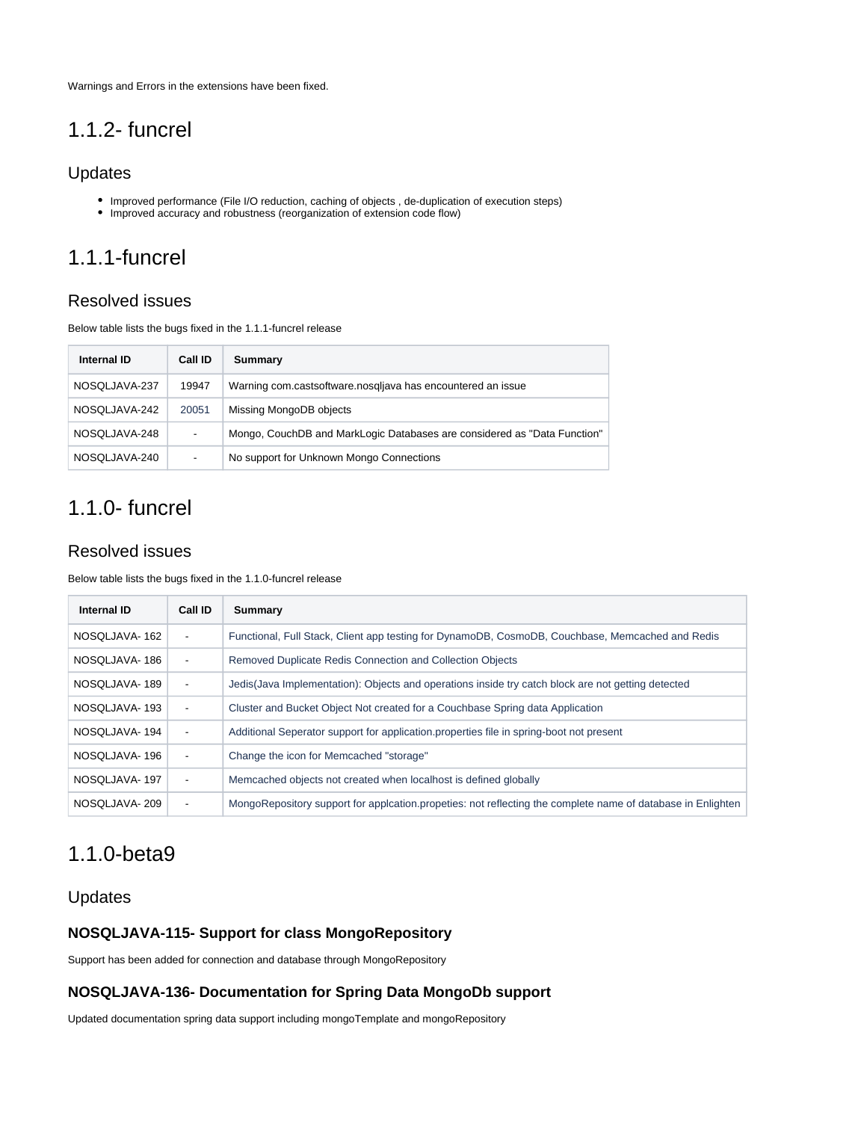Warnings and Errors in the extensions have been fixed.

## <span id="page-1-0"></span>1.1.2- funcrel

### <span id="page-1-1"></span>Updates

- Improved performance (File I/O reduction, caching of objects, de-duplication of execution steps)
- Improved accuracy and robustness (reorganization of extension code flow)

# <span id="page-1-2"></span>1.1.1-funcrel

## <span id="page-1-3"></span>Resolved issues

Below table lists the bugs fixed in the 1.1.1-funcrel release

| <b>Internal ID</b> | Call ID | Summary                                                                  |
|--------------------|---------|--------------------------------------------------------------------------|
| NOSQLJAVA-237      | 19947   | Warning com.castsoftware.nosgliava has encountered an issue              |
| NOSQLJAVA-242      | 20051   | Missing MongoDB objects                                                  |
| NOSQLJAVA-248      | ۰       | Mongo, CouchDB and MarkLogic Databases are considered as "Data Function" |
| NOSQLJAVA-240      |         | No support for Unknown Mongo Connections                                 |

# <span id="page-1-4"></span>1.1.0- funcrel

## <span id="page-1-5"></span>Resolved issues

Below table lists the bugs fixed in the 1.1.0-funcrel release

| Internal ID   | Call ID                  | Summary                                                                                                     |
|---------------|--------------------------|-------------------------------------------------------------------------------------------------------------|
| NOSOLJAVA-162 | $\overline{\phantom{a}}$ | Functional, Full Stack, Client app testing for DynamoDB, CosmoDB, Couchbase, Memcached and Redis            |
| NOSQLJAVA-186 | $\blacksquare$           | Removed Duplicate Redis Connection and Collection Objects                                                   |
| NOSQLJAVA-189 | $\overline{\phantom{a}}$ | Jedis(Java Implementation): Objects and operations inside try catch block are not getting detected          |
| NOSOLJAVA-193 | $\overline{\phantom{a}}$ | Cluster and Bucket Object Not created for a Couchbase Spring data Application                               |
| NOSQLJAVA-194 | ۰                        | Additional Seperator support for application.properties file in spring-boot not present                     |
| NOSQLJAVA-196 | ۰                        | Change the icon for Memcached "storage"                                                                     |
| NOSQLJAVA-197 | $\overline{\phantom{a}}$ | Memcached objects not created when localhost is defined globally                                            |
| NOSQLJAVA-209 | ۰                        | MongoRepository support for applcation propeties: not reflecting the complete name of database in Enlighten |

# <span id="page-1-6"></span>1.1.0-beta9

## <span id="page-1-7"></span>Updates

### <span id="page-1-8"></span>**NOSQLJAVA-115- Support for class MongoRepository**

Support has been added for connection and database through MongoRepository

### <span id="page-1-9"></span>**NOSQLJAVA-136- Documentation for Spring Data MongoDb support**

<span id="page-1-10"></span>Updated documentation spring data support including mongoTemplate and mongoRepository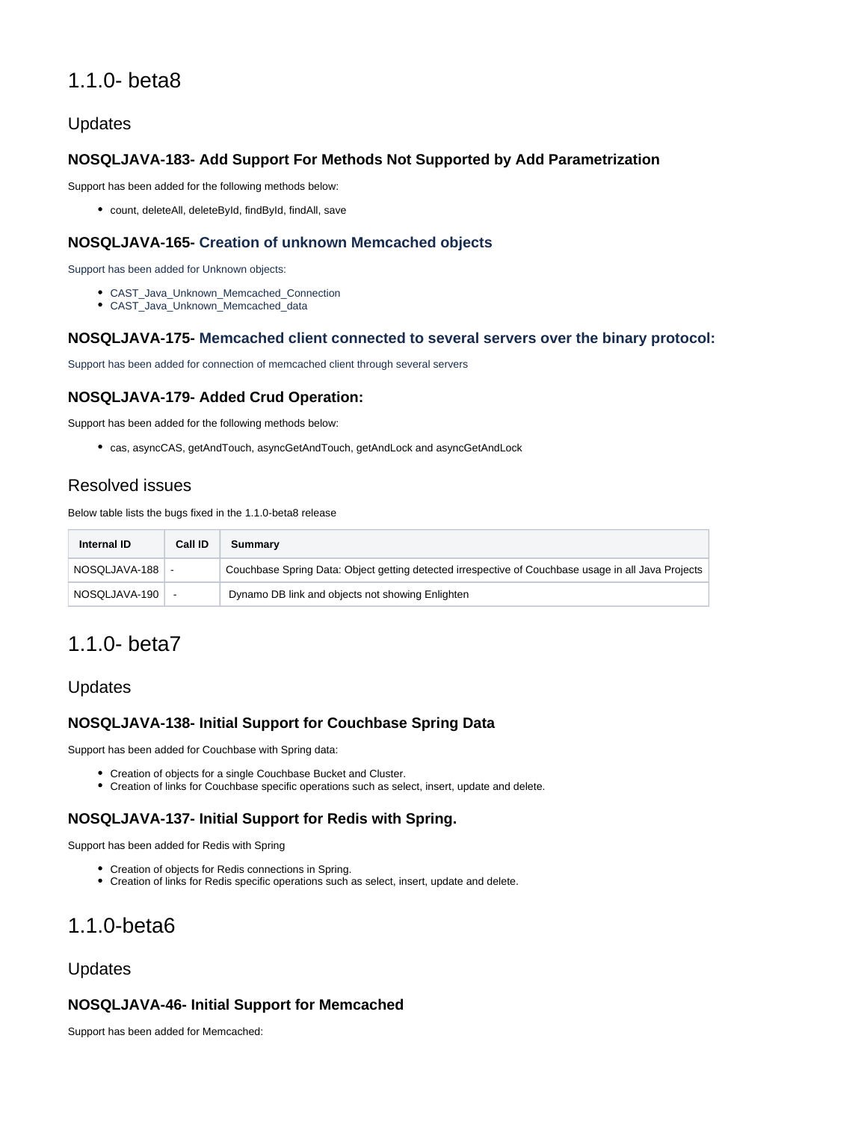## 1.1.0- beta8

## <span id="page-2-0"></span>Updates

#### <span id="page-2-1"></span>**NOSQLJAVA-183- Add Support For Methods Not Supported by Add Parametrization**

Support has been added for the following methods below:

count, deleteAll, deleteById, findById, findAll, save

#### <span id="page-2-2"></span>**NOSQLJAVA-165- Creation of unknown Memcached objects**

Support has been added for Unknown objects:

- CAST\_Java\_Unknown\_Memcached\_Connection
- CAST\_Java\_Unknown\_Memcached\_data

#### <span id="page-2-3"></span>**NOSQLJAVA-175- Memcached client connected to several servers over the binary protocol:**

Support has been added for connection of memcached client through several servers

#### <span id="page-2-4"></span>**NOSQLJAVA-179- Added Crud Operation:**

Support has been added for the following methods below:

cas, asyncCAS, getAndTouch, asyncGetAndTouch, getAndLock and asyncGetAndLock

## <span id="page-2-5"></span>Resolved issues

Below table lists the bugs fixed in the 1.1.0-beta8 release

| Internal ID   | Call ID | Summary                                                                                             |
|---------------|---------|-----------------------------------------------------------------------------------------------------|
| NOSQLJAVA-188 |         | Couchbase Spring Data: Object getting detected irrespective of Couchbase usage in all Java Projects |
| NOSQLJAVA-190 |         | Dynamo DB link and objects not showing Enlighten                                                    |

## <span id="page-2-6"></span>1.1.0- beta7

### <span id="page-2-7"></span>Updates

#### <span id="page-2-8"></span>**NOSQLJAVA-138- Initial Support for Couchbase Spring Data**

Support has been added for Couchbase with Spring data:

- Creation of objects for a single Couchbase Bucket and Cluster.
- Creation of links for Couchbase specific operations such as select, insert, update and delete.

#### <span id="page-2-9"></span>**NOSQLJAVA-137- Initial Support for Redis with Spring.**

Support has been added for Redis with Spring

- Creation of objects for Redis connections in Spring.
- Creation of links for Redis specific operations such as select, insert, update and delete.

## <span id="page-2-10"></span>1.1.0-beta6

#### <span id="page-2-11"></span>Updates

#### <span id="page-2-12"></span>**NOSQLJAVA-46- Initial Support for Memcached**

Support has been added for Memcached: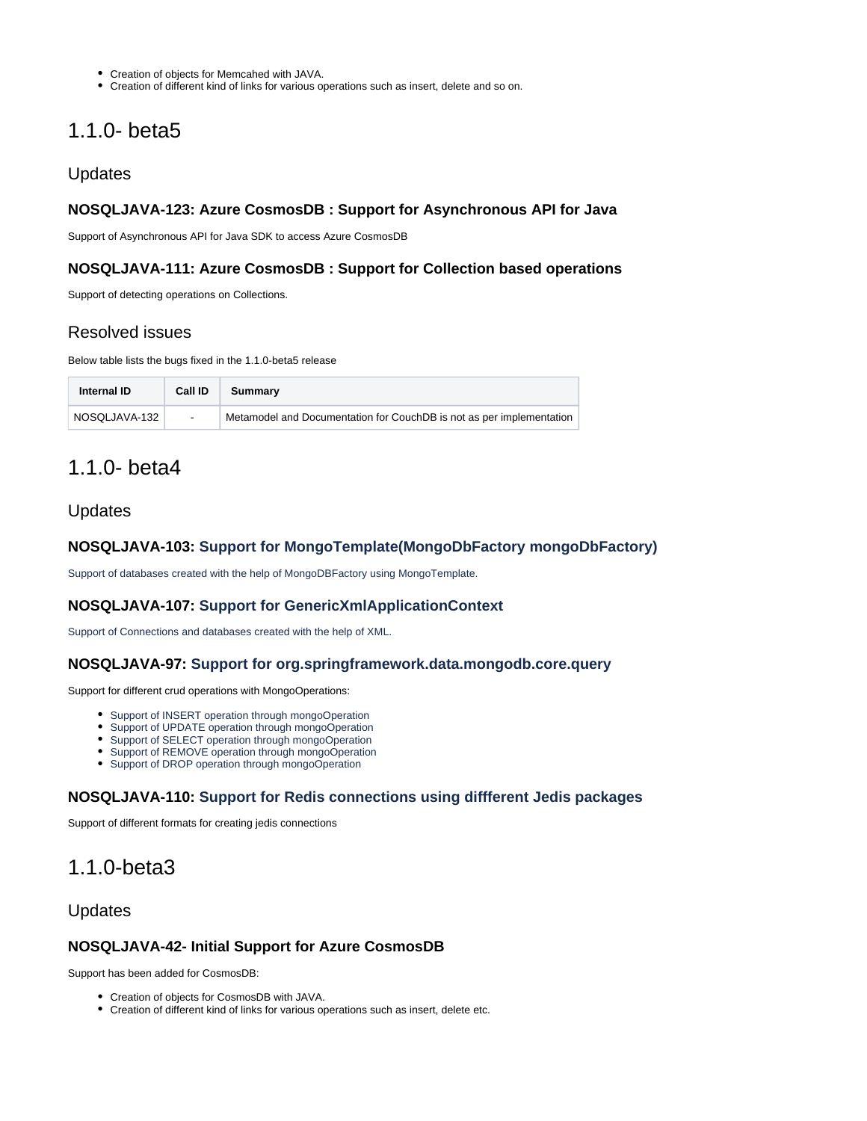- Creation of objects for Memcahed with JAVA.
- Creation of different kind of links for various operations such as insert, delete and so on.

## <span id="page-3-0"></span>1.1.0- beta5

#### <span id="page-3-1"></span>Updates

#### <span id="page-3-2"></span>**NOSQLJAVA-123: Azure CosmosDB : Support for Asynchronous API for Java**

Support of Asynchronous API for Java SDK to access Azure CosmosDB

#### <span id="page-3-3"></span>**NOSQLJAVA-111: Azure CosmosDB : Support for Collection based operations**

Support of detecting operations on Collections.

### <span id="page-3-4"></span>Resolved issues

Below table lists the bugs fixed in the 1.1.0-beta5 release

| Internal ID   | Call ID                  | Summary                                                              |
|---------------|--------------------------|----------------------------------------------------------------------|
| NOSQLJAVA-132 | $\overline{\phantom{a}}$ | Metamodel and Documentation for CouchDB is not as per implementation |

## <span id="page-3-5"></span>1.1.0- beta4

#### <span id="page-3-6"></span>Updates

#### <span id="page-3-7"></span>**NOSQLJAVA-103: Support for MongoTemplate(MongoDbFactory mongoDbFactory)**

Support of databases created with the help of MongoDBFactory using MongoTemplate.

#### <span id="page-3-8"></span>**NOSQLJAVA-107: Support for GenericXmlApplicationContext**

Support of Connections and databases created with the help of XML.

#### <span id="page-3-9"></span>**NOSQLJAVA-97: Support for org.springframework.data.mongodb.core.query**

Support for different crud operations with MongoOperations:

- Support of INSERT operation through mongoOperation
- Support of UPDATE operation through mongoOperation
- Support of SELECT operation through mongoOperation
- Support of REMOVE operation through mongoOperation
- Support of DROP operation through mongoOperation

#### <span id="page-3-10"></span>**NOSQLJAVA-110: Support for Redis connections using diffferent Jedis packages**

Support of different formats for creating jedis connections

## <span id="page-3-11"></span>1.1.0-beta3

#### <span id="page-3-12"></span>Updates

#### <span id="page-3-13"></span>**NOSQLJAVA-42- Initial Support for Azure CosmosDB**

<span id="page-3-14"></span>Support has been added for CosmosDB:

- Creation of objects for CosmosDB with JAVA.
- Creation of different kind of links for various operations such as insert, delete etc.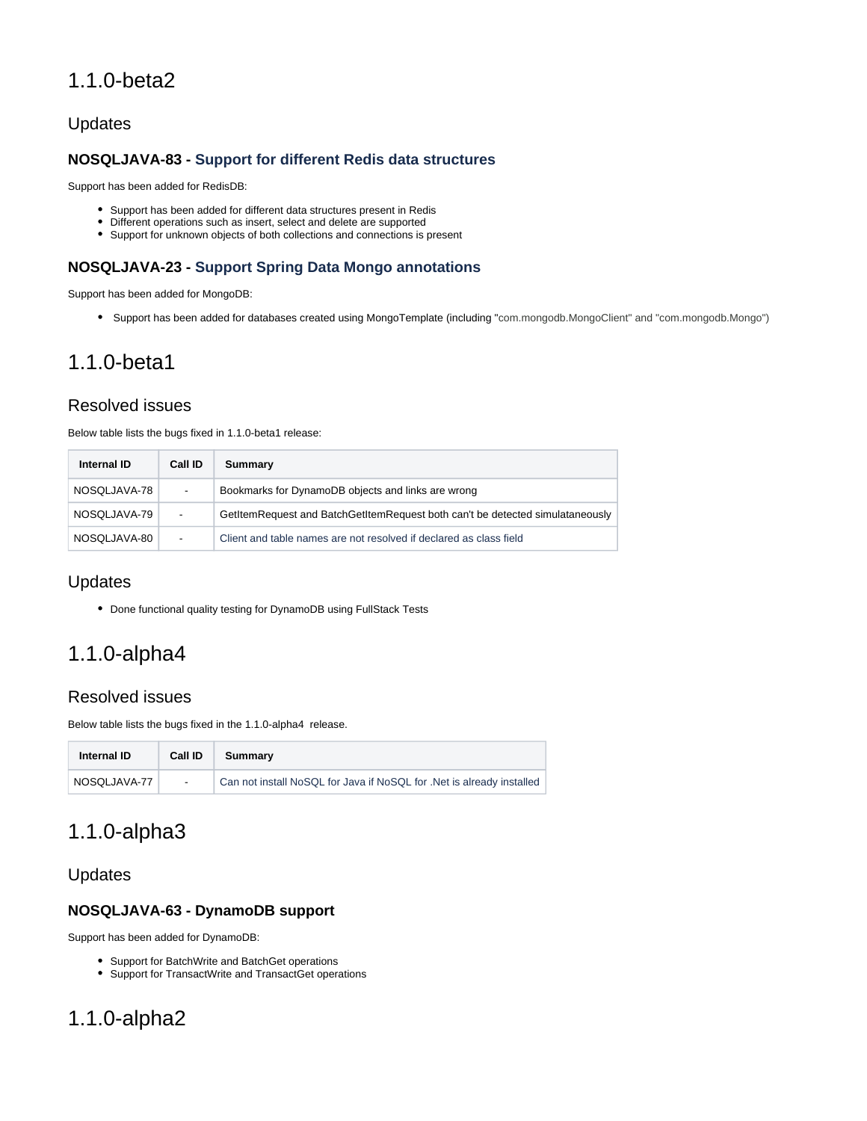## 1.1.0-beta2

## <span id="page-4-0"></span>Updates

## <span id="page-4-1"></span>**NOSQLJAVA-83 - Support for different Redis data structures**

Support has been added for RedisDB:

- Support has been added for different data structures present in Redis
- Different operations such as insert, select and delete are supported
- Support for unknown objects of both collections and connections is present

## <span id="page-4-2"></span>**NOSQLJAVA-23 - Support Spring Data Mongo annotations**

Support has been added for MongoDB:

Support has been added for databases created using MongoTemplate (including "com.mongodb.MongoClient" and "com.mongodb.Mongo")

## <span id="page-4-3"></span>1.1.0-beta1

## <span id="page-4-4"></span>Resolved issues

Below table lists the bugs fixed in 1.1.0-beta1 release:

| Internal ID  | Call ID                  | Summary                                                                       |
|--------------|--------------------------|-------------------------------------------------------------------------------|
| NOSQLJAVA-78 | -                        | Bookmarks for DynamoDB objects and links are wrong                            |
| NOSQLJAVA-79 | $\overline{\phantom{a}}$ | GetItemRequest and BatchGetItemRequest both can't be detected simulataneously |
| NOSQLJAVA-80 | ٠                        | Client and table names are not resolved if declared as class field            |

## <span id="page-4-5"></span>Updates

Done functional quality testing for DynamoDB using FullStack Tests

# <span id="page-4-6"></span>1.1.0-alpha4

### <span id="page-4-7"></span>Resolved issues

Below table lists the bugs fixed in the 1.1.0-alpha4 release.

| Internal ID  | Call ID                  | Summary                                                               |
|--------------|--------------------------|-----------------------------------------------------------------------|
| NOSQLJAVA-77 | $\overline{\phantom{a}}$ | Can not install NoSQL for Java if NoSQL for .Net is already installed |

## <span id="page-4-8"></span>1.1.0-alpha3

## <span id="page-4-9"></span>Updates

### <span id="page-4-10"></span>**NOSQLJAVA-63 - DynamoDB support**

Support has been added for DynamoDB:

- Support for BatchWrite and BatchGet operations
- Support for TransactWrite and TransactGet operations

## <span id="page-4-12"></span><span id="page-4-11"></span>1.1.0-alpha2